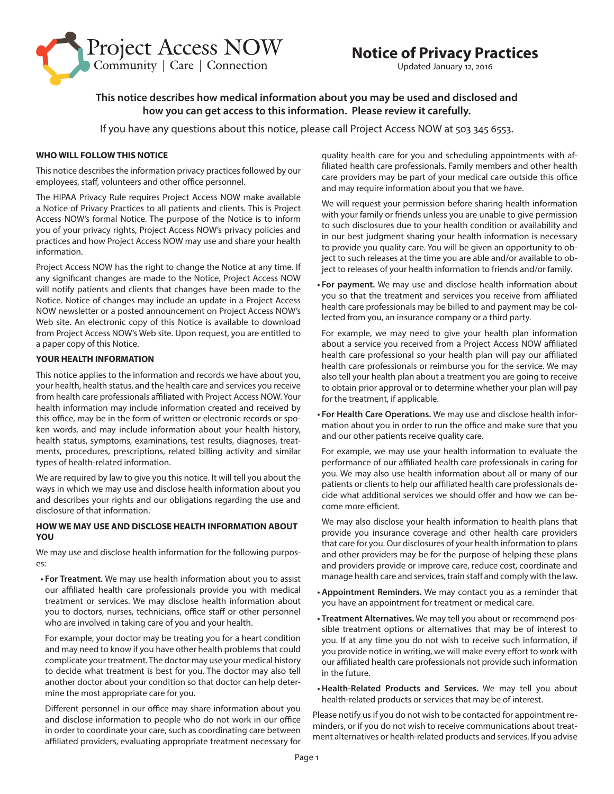

# **Notice of Privacy Practices**

Updated January 12, 2016

# **This notice describes how medical information about you may be used and disclosed and how you can get access to this information. Please review it carefully.**

If you have any questions about this notice, please call Project Access NOW at 503 345 6553.

# **WHO WILL FOLLOW THIS NOTICE**

This notice describes the information privacy practices followed by our employees, staff, volunteers and other office personnel.

The HIPAA Privacy Rule requires Project Access NOW make available a Notice of Privacy Practices to all patients and clients. This is Project Access NOW's formal Notice. The purpose of the Notice is to inform you of your privacy rights, Project Access NOW's privacy policies and practices and how Project Access NOW may use and share your health information.

Project Access NOW has the right to change the Notice at any time. If any significant changes are made to the Notice, Project Access NOW will notify patients and clients that changes have been made to the Notice. Notice of changes may include an update in a Project Access NOW newsletter or a posted announcement on Project Access NOW's Web site. An electronic copy of this Notice is available to download from Project Access NOW's Web site. Upon request, you are entitled to a paper copy of this Notice.

# **YOUR HEALTH INFORMATION**

This notice applies to the information and records we have about you, your health, health status, and the health care and services you receive from health care professionals affiliated with Project Access NOW. Your health information may include information created and received by this office, may be in the form of written or electronic records or spoken words, and may include information about your health history, health status, symptoms, examinations, test results, diagnoses, treatments, procedures, prescriptions, related billing activity and similar types of health-related information.

We are required by law to give you this notice. It will tell you about the ways in which we may use and disclose health information about you and describes your rights and our obligations regarding the use and disclosure of that information.

# **HOW WE MAY USE AND DISCLOSE HEALTH INFORMATION ABOUT YOU**

We may use and disclose health information for the following purposes:

**• For Treatment.** We may use health information about you to assist our affiliated health care professionals provide you with medical treatment or services. We may disclose health information about you to doctors, nurses, technicians, office staff or other personnel who are involved in taking care of you and your health.

For example, your doctor may be treating you for a heart condition and may need to know if you have other health problems that could complicate your treatment. The doctor may use your medical history to decide what treatment is best for you. The doctor may also tell another doctor about your condition so that doctor can help determine the most appropriate care for you.

Different personnel in our office may share information about you and disclose information to people who do not work in our office in order to coordinate your care, such as coordinating care between affiliated providers, evaluating appropriate treatment necessary for

quality health care for you and scheduling appointments with affiliated health care professionals. Family members and other health care providers may be part of your medical care outside this office and may require information about you that we have.

We will request your permission before sharing health information with your family or friends unless you are unable to give permission to such disclosures due to your health condition or availability and in our best judgment sharing your health information is necessary to provide you quality care. You will be given an opportunity to object to such releases at the time you are able and/or available to object to releases of your health information to friends and/or family.

**• For payment.** We may use and disclose health information about you so that the treatment and services you receive from affiliated health care professionals may be billed to and payment may be collected from you, an insurance company or a third party.

For example, we may need to give your health plan information about a service you received from a Project Access NOW affiliated health care professional so your health plan will pay our affiliated health care professionals or reimburse you for the service. We may also tell your health plan about a treatment you are going to receive to obtain prior approval or to determine whether your plan will pay for the treatment, if applicable.

**• For Health Care Operations.** We may use and disclose health information about you in order to run the office and make sure that you and our other patients receive quality care.

For example, we may use your health information to evaluate the performance of our affiliated health care professionals in caring for you. We may also use health information about all or many of our patients or clients to help our affiliated health care professionals decide what additional services we should offer and how we can become more efficient.

We may also disclose your health information to health plans that provide you insurance coverage and other health care providers that care for you. Our disclosures of your health information to plans and other providers may be for the purpose of helping these plans and providers provide or improve care, reduce cost, coordinate and manage health care and services, train staff and comply with the law.

- **• Appointment Reminders.** We may contact you as a reminder that you have an appointment for treatment or medical care.
- **• Treatment Alternatives.** We may tell you about or recommend possible treatment options or alternatives that may be of interest to you. If at any time you do not wish to receive such information, if you provide notice in writing, we will make every effort to work with our affiliated health care professionals not provide such information in the future.
- **• Health-Related Products and Services.** We may tell you about health-related products or services that may be of interest.

Please notify us if you do not wish to be contacted for appointment reminders, or if you do not wish to receive communications about treatment alternatives or health-related products and services. If you advise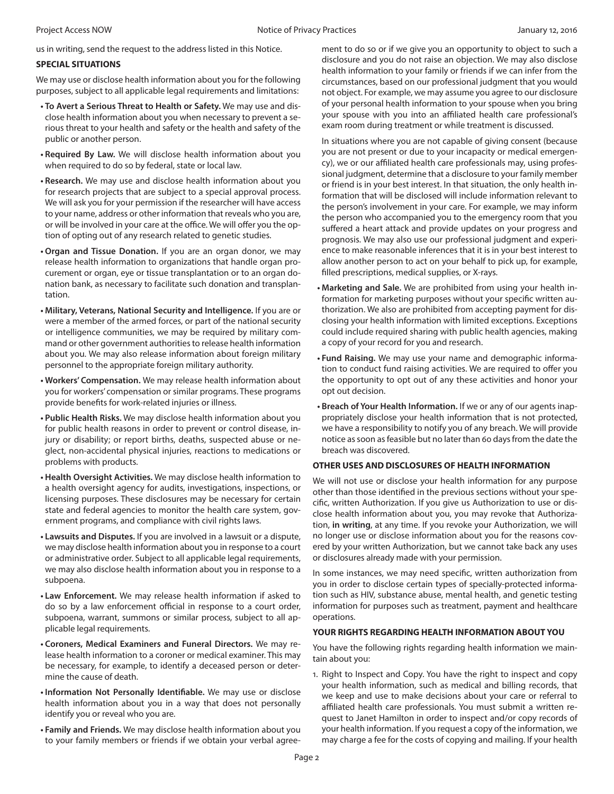us in writing, send the request to the address listed in this Notice.

#### **SPECIAL SITUATIONS**

We may use or disclose health information about you for the following purposes, subject to all applicable legal requirements and limitations:

- **• To Avert a Serious Threat to Health or Safety.** We may use and disclose health information about you when necessary to prevent a serious threat to your health and safety or the health and safety of the public or another person.
- **• Required By Law.** We will disclose health information about you when required to do so by federal, state or local law.
- **• Research.** We may use and disclose health information about you for research projects that are subject to a special approval process. We will ask you for your permission if the researcher will have access to your name, address or other information that reveals who you are, or will be involved in your care at the office. We will offer you the option of opting out of any research related to genetic studies.
- **• Organ and Tissue Donation.** If you are an organ donor, we may release health information to organizations that handle organ procurement or organ, eye or tissue transplantation or to an organ donation bank, as necessary to facilitate such donation and transplantation.
- **• Military, Veterans, National Security and Intelligence.** If you are or were a member of the armed forces, or part of the national security or intelligence communities, we may be required by military command or other government authorities to release health information about you. We may also release information about foreign military personnel to the appropriate foreign military authority.
- **• Workers' Compensation.** We may release health information about you for workers' compensation or similar programs. These programs provide benefits for work-related injuries or illness.
- **• Public Health Risks.** We may disclose health information about you for public health reasons in order to prevent or control disease, injury or disability; or report births, deaths, suspected abuse or neglect, non-accidental physical injuries, reactions to medications or problems with products.
- **• Health Oversight Activities.** We may disclose health information to a health oversight agency for audits, investigations, inspections, or licensing purposes. These disclosures may be necessary for certain state and federal agencies to monitor the health care system, government programs, and compliance with civil rights laws.
- **• Lawsuits and Disputes.** If you are involved in a lawsuit or a dispute, we may disclose health information about you in response to a court or administrative order. Subject to all applicable legal requirements, we may also disclose health information about you in response to a subpoena.
- **• Law Enforcement.** We may release health information if asked to do so by a law enforcement official in response to a court order, subpoena, warrant, summons or similar process, subject to all applicable legal requirements.
- **• Coroners, Medical Examiners and Funeral Directors.** We may release health information to a coroner or medical examiner. This may be necessary, for example, to identify a deceased person or determine the cause of death.
- **• Information Not Personally Identifiable.** We may use or disclose health information about you in a way that does not personally identify you or reveal who you are.
- **• Family and Friends.** We may disclose health information about you to your family members or friends if we obtain your verbal agree-

ment to do so or if we give you an opportunity to object to such a disclosure and you do not raise an objection. We may also disclose health information to your family or friends if we can infer from the circumstances, based on our professional judgment that you would not object. For example, we may assume you agree to our disclosure of your personal health information to your spouse when you bring your spouse with you into an affiliated health care professional's exam room during treatment or while treatment is discussed.

In situations where you are not capable of giving consent (because you are not present or due to your incapacity or medical emergency), we or our affiliated health care professionals may, using professional judgment, determine that a disclosure to your family member or friend is in your best interest. In that situation, the only health information that will be disclosed will include information relevant to the person's involvement in your care. For example, we may inform the person who accompanied you to the emergency room that you suffered a heart attack and provide updates on your progress and prognosis. We may also use our professional judgment and experience to make reasonable inferences that it is in your best interest to allow another person to act on your behalf to pick up, for example, filled prescriptions, medical supplies, or X-rays.

- **• Marketing and Sale.** We are prohibited from using your health information for marketing purposes without your specific written authorization. We also are prohibited from accepting payment for disclosing your health information with limited exceptions. Exceptions could include required sharing with public health agencies, making a copy of your record for you and research.
- **• Fund Raising.** We may use your name and demographic information to conduct fund raising activities. We are required to offer you the opportunity to opt out of any these activities and honor your opt out decision.
- **• Breach of Your Health Information.** If we or any of our agents inappropriately disclose your health information that is not protected, we have a responsibility to notify you of any breach. We will provide notice as soon as feasible but no later than 60 days from the date the breach was discovered.

#### **OTHER USES AND DISCLOSURES OF HEALTH INFORMATION**

We will not use or disclose your health information for any purpose other than those identified in the previous sections without your specific, written Authorization. If you give us Authorization to use or disclose health information about you, you may revoke that Authorization, **in writing**, at any time. If you revoke your Authorization, we will no longer use or disclose information about you for the reasons covered by your written Authorization, but we cannot take back any uses or disclosures already made with your permission.

In some instances, we may need specific, written authorization from you in order to disclose certain types of specially-protected information such as HIV, substance abuse, mental health, and genetic testing information for purposes such as treatment, payment and healthcare operations.

#### **YOUR RIGHTS REGARDING HEALTH INFORMATION ABOUT YOU**

You have the following rights regarding health information we maintain about you:

1. Right to Inspect and Copy. You have the right to inspect and copy your health information, such as medical and billing records, that we keep and use to make decisions about your care or referral to affiliated health care professionals. You must submit a written request to Janet Hamilton in order to inspect and/or copy records of your health information. If you request a copy of the information, we may charge a fee for the costs of copying and mailing. If your health